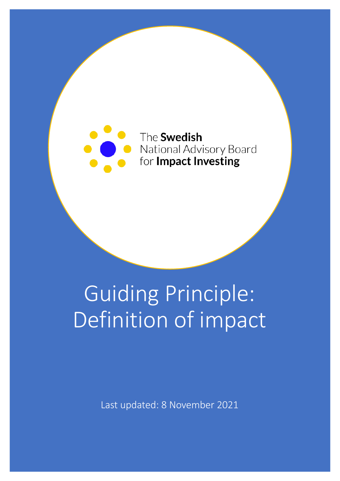

## Guiding Principle: Definition of impact

Last updated: 8 November 2021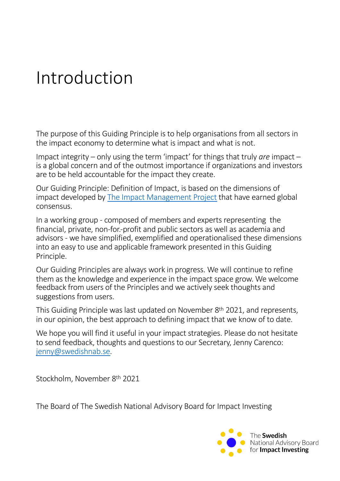### Introduction

The purpose of this Guiding Principle is to help organisations from all sectors in the impact economy to determine what is impact and what is not.

Impact integrity – only using the term 'impact' for things that truly *are* impact – is a global concern and of the outmost importance if organizations and investors are to be held accountable for the impact they create.

Our Guiding Principle: Definition of Impact, is based on the dimensions of impact developed [by The Impact Management Proje](http://www.impactmanagementproject.org/)ct that have earned global consensus.

In a working group - composed of members and experts representing the financial, private, non-for.-profit and public sectors as well as academia and advisors - we have simplified, exemplified and operationalised these dimensions into an easy to use and applicable framework presented in this Guiding Principle.

Our Guiding Principles are always work in progress. We will continue to refine them as the knowledge and experience in the impact space grow. We welcome feedback from users of the Principles and we actively seek thoughts and suggestions from users.

This Guiding Principle was last updated on November 8th 2021, and represents, in our opinion, the best approach to defining impact that we know of to date.

We hope you will find it useful in your impact strategies. Please do not hesitate to send feedback, thoughts and questions to our Secretary, Jenny Carenco: [jenny@swedishnab](mailto:jenny@swedishnab.se).se.

Stockholm, November 8th 2021

The Board of The Swedish National Advisory Board for Impact Investing

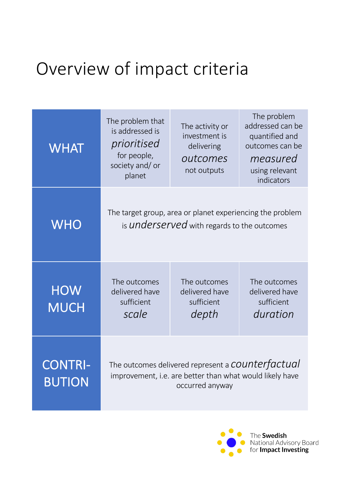## Overview of impact criteria

| <b>WHAT</b>                     | The problem that<br>is addressed is<br>prioritised<br>for people,<br>society and/ or<br>planet                                           | The activity or<br>investment is<br>delivering<br>outcomes<br>not outputs | The problem<br>addressed can be<br>quantified and<br>outcomes can be<br>measured<br>using relevant<br>indicators |
|---------------------------------|------------------------------------------------------------------------------------------------------------------------------------------|---------------------------------------------------------------------------|------------------------------------------------------------------------------------------------------------------|
| <b>WHO</b>                      | The target group, area or planet experiencing the problem<br>is <b>underserved</b> with regards to the outcomes                          |                                                                           |                                                                                                                  |
| <b>HOW</b><br>MUCH              | The outcomes<br>delivered have<br>sufficient<br>scale                                                                                    | The outcomes<br>delivered have<br>sufficient<br>depth                     | The outcomes<br>delivered have<br>sufficient<br>duration                                                         |
| <b>CONTRI-</b><br><b>BUTION</b> | The outcomes delivered represent a <b>COUNTET factual</b><br>improvement, i.e. are better than what would likely have<br>occurred anyway |                                                                           |                                                                                                                  |

The Swedish National Advisory Board<br>for **Impact Investing**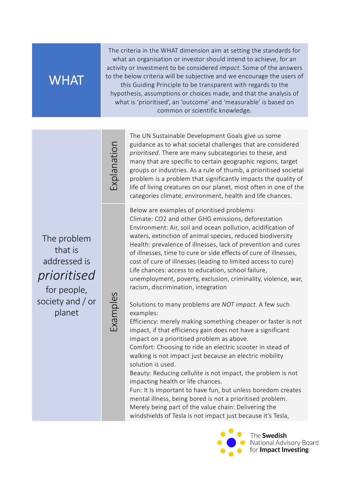#### **WHAT**

The criteria in the WHAT dimension aim at setting the standards for what an organisation or investor should intend to achieve, for an activity or investment to be considered *impact.* Some of the answers to the below criteria will be subjective and we encourage the users of this Guiding Principle to be transparent with regards to the hypothesis, assumptions or choices made, and that the analysis of what is 'prioritised', an 'outcome' and 'measurable' is based on common or scientific knowledge.

cxplanation Explanation

The problem that is addressed is *prioritised*

for people, society and / or planet

Examples

The UN Sustainable Development Goals give us some guidance as to what societal challenges that are considered *prioritised*. There are many subcategories to these, and many that are specific to certain geographic regions, target groups or industries. As a rule of thumb, a prioritised societal problem is a problem that significantly impacts the quality of life of living creatures on our planet, most often in one of the categories climate, environment, health and life chances.

Below are examples of prioritised problems: Climate: CO2 and other GHG emissions, deforestation Environment: Air, soil and ocean pollution, acidification of waters, extinction of animal species, reduced biodiversity Health: prevalence of illnesses, lack of prevention and cures of illnesses, time to cure or side effects of cure of illnesses, cost of cure of illnesses (leading to limited access to cure) Life chances: access to education, school failure, unemployment, poverty, exclusion, criminality, violence, war, racism, discrimination, integration

Solutions to many problems are *NOT impact.* A few such examples:

Efficiency: merely making something cheaper or faster is not impact, if that efficiency gain does not have a significant impact on a prioritised problem as above.

Comfort: Choosing to ride an electric scooter in stead of walking is not impact just because an electric mobility solution is used.

Beauty: Reducing cellulite is not impact, the problem is not impacting health or life chances.

Fun: It Is important to have fun, but unless boredom creates mental illness, being bored is not a prioritised problem. Merely being part of the value chain: Delivering the windshields of Tesla is not impact just because it's Tesla,

> The Swedish National Advisory Board for Impact Investing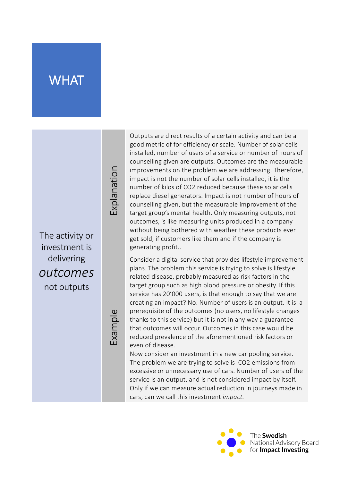#### WHAT

The activity or investment is delivering *outcomes* not outputs

Example

Explanation

cxplanation

Outputs are direct results of a certain activity and can be a good metric of for efficiency or scale. Number of solar cells installed, number of users of a service or number of hours of counselling given are outputs. Outcomes are the measurable improvements on the problem we are addressing. Therefore, impact is not the number of solar cells installed, it is the number of kilos of CO2 reduced because these solar cells replace diesel generators. Impact is not number of hours of counselling given, but the measurable improvement of the target group's mental health. Only measuring outputs, not outcomes, is like measuring units produced in a company without being bothered with weather these products ever get sold, if customers like them and if the company is generating profit..

Consider a digital service that provides lifestyle improvement plans. The problem this service is trying to solve is lifestyle related disease, probably measured as risk factors in the target group such as high blood pressure or obesity. If this service has 20'000 users, is that enough to say that we are creating an impact? No. Number of users is an output. It is a prerequisite of the outcomes (no users, no lifestyle changes thanks to this service) but it is not in any way a guarantee that outcomes will occur. Outcomes in this case would be reduced prevalence of the aforementioned risk factors or even of disease.

Now consider an investment in a new car pooling service. The problem we are trying to solve is CO2 emissions from excessive or unnecessary use of cars. Number of users of the service is an output, and is not considered impact by itself. Only if we can measure actual reduction in journeys made in cars, can we call this investment *impact.*

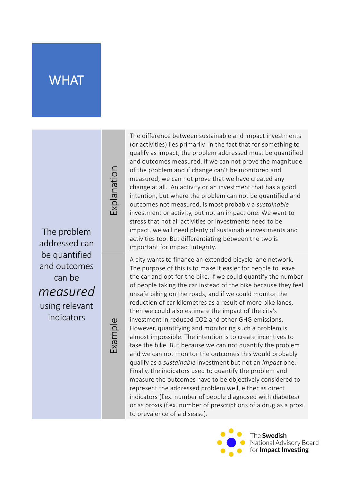#### **WHAT**

The problem addressed can be quantified and outcomes can be *measured* using relevant indicators

Explanation

noitsnablox

Example

The difference between sustainable and impact investments (or activities) lies primarily in the fact that for something to qualify as impact, the problem addressed must be quantified and outcomes measured. If we can not prove the magnitude of the problem and if change can't be monitored and measured, we can not prove that we have created any change at all. An activity or an investment that has a good intention, but where the problem can not be quantified and outcomes not measured, is most probably a *sustainable* investment or activity, but not an impact one. We want to stress that not all activities or investments need to be impact, we will need plenty of sustainable investments and activities too. But differentiating between the two is important for impact integrity.

A city wants to finance an extended bicycle lane network. The purpose of this is to make it easier for people to leave the car and opt for the bike. If we could quantify the number of people taking the car instead of the bike because they feel unsafe biking on the roads, and if we could monitor the reduction of car kilometres as a result of more bike lanes, then we could also estimate the impact of the city's investment in reduced CO2 and other GHG emissions. However, quantifying and monitoring such a problem is almost impossible. The intention is to create incentives to take the bike. But because we can not quantify the problem and we can not monitor the outcomes this would probably qualify as a *sustainable* investment but not an *impact* one. Finally, the indicators used to quantify the problem and measure the outcomes have to be objectively considered to represent the addressed problem well, either as direct indicators (f.ex. number of people diagnosed with diabetes) or as proxis (f.ex. number of prescriptions of a drug as a proxi to prevalence of a disease).

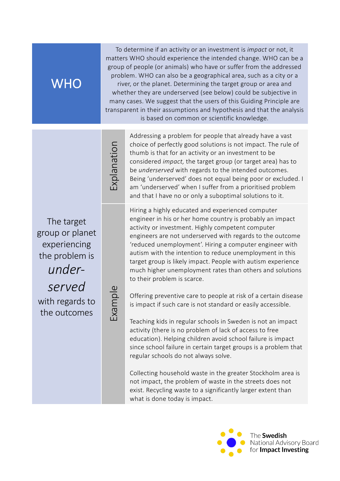#### **WHO**

To determine if an activity or an investment is *impact* or not, it matters WHO should experience the intended change. WHO can be a group of people (or animals) who have or suffer from the addressed problem. WHO can also be a geographical area, such as a city or a river, or the planet. Determining the target group or area and whether they are underserved (see below) could be subjective in many cases. We suggest that the users of this Guiding Principle are transparent in their assumptions and hypothesis and that the analysis is based on common or scientific knowledge.

Indianation Explanation

The target group or planet experiencing the problem is *under-*

*served* with regards to the outcomes

Example

Addressing a problem for people that already have a vast choice of perfectly good solutions is not impact. The rule of thumb is that for an activity or an investment to be considered *impact,* the target group (or target area) has to be *underserved* with regards to the intended outcomes. Being 'underserved' does not equal being poor or excluded. I am 'underserved' when I suffer from a prioritised problem and that I have no or only a suboptimal solutions to it.

Hiring a highly educated and experienced computer engineer in his or her home country is probably an impact activity or investment. Highly competent computer engineers are not underserved with regards to the outcome 'reduced unemployment'. Hiring a computer engineer with autism with the intention to reduce unemployment in this target group is likely impact. People with autism experience much higher unemployment rates than others and solutions to their problem is scarce.

Offering preventive care to people at risk of a certain disease is impact if such care is not standard or easily accessible.

Teaching kids in regular schools in Sweden is not an impact activity (there is no problem of lack of access to free education). Helping children avoid school failure is impact since school failure in certain target groups is a problem that regular schools do not always solve.

Collecting household waste in the greater Stockholm area is not impact, the problem of waste in the streets does not exist. Recycling waste to a significantly larger extent than what is done today is impact.

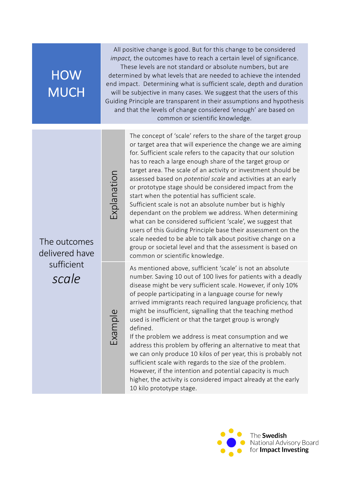#### HOW **MUCH**

All positive change is good. But for this change to be considered *impact,* the outcomes have to reach a certain level of significance.

These levels are not standard or absolute numbers, but are determined by what levels that are needed to achieve the intended end impact. Determining what is sufficient scale, depth and duration will be subjective in many cases. We suggest that the users of this Guiding Principle are transparent in their assumptions and hypothesis and that the levels of change considered 'enough' are based on common or scientific knowledge.

Indition Explanation

The outcomes delivered have sufficient *scale*

Example

The concept of 'scale' refers to the share of the target group or target area that will experience the change we are aiming for. Sufficient scale refers to the capacity that our solution has to reach a large enough share of the target group or target area. The scale of an activity or investment should be assessed based on *potential scale* and activities at an early or prototype stage should be considered impact from the start when the potential has sufficient scale. Sufficient scale is not an absolute number but is highly dependant on the problem we address. When determining what can be considered sufficient 'scale', we suggest that users of this Guiding Principle base their assessment on the scale needed to be able to talk about positive change on a group or societal level and that the assessment is based on common or scientific knowledge.

As mentioned above, sufficient 'scale' is not an absolute number. Saving 10 out of 100 lives for patients with a deadly disease might be very sufficient scale. However, if only 10% of people participating in a language course for newly arrived immigrants reach required language proficiency, that might be insufficient, signalling that the teaching method used is inefficient or that the target group is wrongly defined.

If the problem we address is meat consumption and we address this problem by offering an alternative to meat that we can only produce 10 kilos of per year, this is probably not sufficient scale with regards to the size of the problem. However, if the intention and potential capacity is much higher, the activity is considered impact already at the early 10 kilo prototype stage.

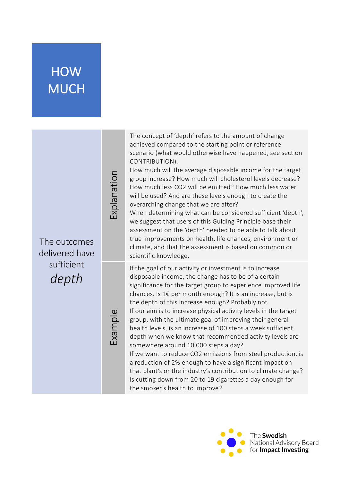#### HOW **MUCH**

| The outcomes<br>delivered have<br>sufficient<br>depth | Explanation | The concept of 'depth' refers to the amount of change<br>achieved compared to the starting point or reference<br>scenario (what would otherwise have happened, see section<br>CONTRIBUTION).<br>How much will the average disposable income for the target<br>group increase? How much will cholesterol levels decrease?<br>How much less CO2 will be emitted? How much less water<br>will be used? And are these levels enough to create the<br>overarching change that we are after?<br>When determining what can be considered sufficient 'depth',<br>we suggest that users of this Guiding Principle base their<br>assessment on the 'depth' needed to be able to talk about<br>true improvements on health, life chances, environment or<br>climate, and that the assessment is based on common or<br>scientific knowledge.                                                                     |
|-------------------------------------------------------|-------------|------------------------------------------------------------------------------------------------------------------------------------------------------------------------------------------------------------------------------------------------------------------------------------------------------------------------------------------------------------------------------------------------------------------------------------------------------------------------------------------------------------------------------------------------------------------------------------------------------------------------------------------------------------------------------------------------------------------------------------------------------------------------------------------------------------------------------------------------------------------------------------------------------|
|                                                       | Example     | If the goal of our activity or investment is to increase<br>disposable income, the change has to be of a certain<br>significance for the target group to experience improved life<br>chances. Is 1€ per month enough? It is an increase, but is<br>the depth of this increase enough? Probably not.<br>If our aim is to increase physical activity levels in the target<br>group, with the ultimate goal of improving their general<br>health levels, is an increase of 100 steps a week sufficient<br>depth when we know that recommended activity levels are<br>somewhere around 10'000 steps a day?<br>If we want to reduce CO2 emissions from steel production, is<br>a reduction of 2% enough to have a significant impact on<br>that plant's or the industry's contribution to climate change?<br>Is cutting down from 20 to 19 cigarettes a day enough for<br>the smoker's health to improve? |

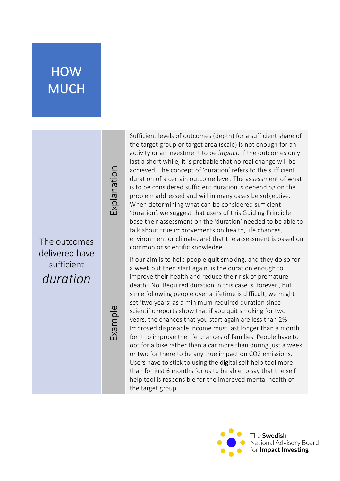#### **HOW MUCH**

The outcomes delivered have sufficient *duration*

Example

Explanation

noitsnablox

Sufficient levels of outcomes (depth) for a sufficient share of the target group or target area (scale) is not enough for an activity or an investment to be *impact.* If the outcomes only last a short while, it is probable that no real change will be achieved. The concept of 'duration' refers to the sufficient duration of a certain outcome level. The assessment of what is to be considered sufficient duration is depending on the problem addressed and will in many cases be subjective. When determining what can be considered sufficient 'duration', we suggest that users of this Guiding Principle base their assessment on the 'duration' needed to be able to talk about true improvements on health, life chances, environment or climate, and that the assessment is based on common or scientific knowledge.

If our aim is to help people quit smoking, and they do so for a week but then start again, is the duration enough to improve their health and reduce their risk of premature death? No. Required duration in this case is 'forever', but since following people over a lifetime is difficult, we might set 'two years' as a minimum required duration since scientific reports show that if you quit smoking for two years, the chances that you start again are less than 2%. Improved disposable income must last longer than a month for it to improve the life chances of families. People have to opt for a bike rather than a car more than during just a week or two for there to be any true impact on CO2 emissions. Users have to stick to using the digital self-help tool more than for just 6 months for us to be able to say that the self help tool is responsible for the improved mental health of the target group.

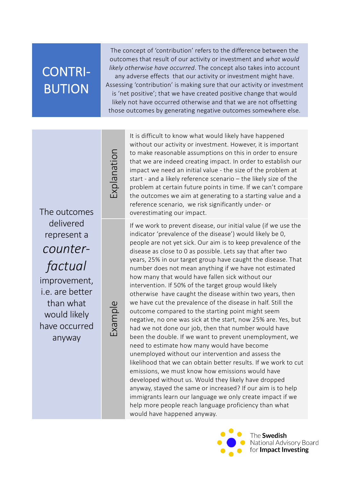#### CONTRI-BUTION

The concept of 'contribution' refers to the difference between the outcomes that result of our activity or investment and *what would likely otherwise have occurred*. The concept also takes into account any adverse effects that our activity or investment might have. Assessing 'contribution' is making sure that our activity or investment is 'net positive'; that we have created positive change that would likely not have occurred otherwise and that we are not offsetting those outcomes by generating negative outcomes somewhere else.

The outcomes delivered represent a *counterfactual*

improvement, i.e. are better than what would likely have occurred anyway

# Example

Explanation

Ixplanation

It is difficult to know what would likely have happened without our activity or investment. However, it is important to make reasonable assumptions on this in order to ensure that we are indeed creating impact. In order to establish our impact we need an initial value - the size of the problem at start - and a likely reference scenario – the likely size of the problem at certain future points in time. If we can't compare the outcomes we aim at generating to a starting value and a reference scenario, we risk significantly under- or overestimating our impact.

If we work to prevent disease, our initial value (if we use the indicator 'prevalence of the disease') would likely be 0, people are not yet sick. Our aim is to keep prevalence of the disease as close to 0 as possible. Lets say that after two years, 25% in our target group have caught the disease. That number does not mean anything if we have not estimated how many that would have fallen sick without our intervention. If 50% of the target group would likely otherwise have caught the disease within two years, then we have cut the prevalence of the disease in half. Still the outcome compared to the starting point might seem negative, no one was sick at the start, now 25% are. Yes, but had we not done our job, then that number would have been the double. If we want to prevent unemployment, we need to estimate how many would have become unemployed without our intervention and assess the likelihood that we can obtain better results. If we work to cut emissions, we must know how emissions would have developed without us. Would they likely have dropped anyway, stayed the same or increased? If our aim is to help immigrants learn our language we only create impact if we help more people reach language proficiency than what would have happened anyway.